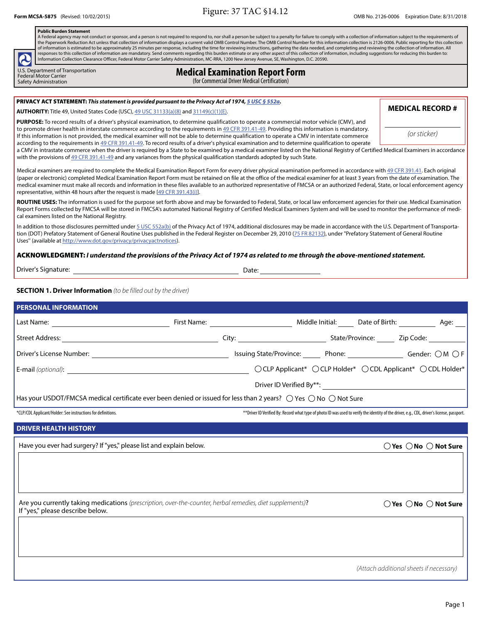**Figure:** 37 TAC \$14.12 OMB No. 2126-0006 Expiration Date: 8/31/2018 Communication Date: 8/31/2018

#### **Public Burden Statement**

A Federal agency may not conduct or sponsor, and a person is not required to respond to, nor shall a person be subject to a penalty for failure to comply with a collection of information subject to the requirements of the Paperwork Reduction Act unless that collection of information displays a current valid OMB Control Number. The OMB Control Number for this information collection is 2126-0006. Public reporting for this collection<br>of in responses to this collection of information are mandatory. Send comments regarding this burden estimate or any other aspect of this collection of information, including suggestions for reducing this burden to: Information Collection Clearance Officer, Federal Motor Carrier Safety Administration, MC-RRA, 1200 New Jersey Avenue, SE, Washington, D.C. 20590.

U.S. Department of Transportation<br>Federal Motor Carrier

# U.S. Department of Transportation<br>Federal Motor Carrier<br>Safety Administration **Carrier Carrier Carrier Carrier (for Commercial Driver Medical Certification)**

(for Commercial Driver Medical Certification)

#### PRIVACY ACT STATEMENT: This statement is provided pursuant to the Privacy Act of 1974, 5 USC § 552a.

**AUTHORITY:** Title 49, United States Code (USC), 49 USC 31133(a)(8) and 31149(c)(1)(E). **MEDICAL RECORD # MEDICAL RECORD #** 

**PURPOSE:** To record results of a driver's physical examination, to determine qualification to operate a commercial motor vehicle (CMV ), and to promote driver health in interstate commerce according to the requirements in 49 CFR 391.41-49. Providing this information is mandatory. If this information is not provided, the medical examiner will not be able to determine qualification to operate a CMV in interstate commerce (Or sticker) according to the requirements in 49 CFR 391.41-49. To record results of a driver's physical examination and to determine qualification to operate

a CMV in intrastate commerce when the driver is required by a State to be examined by a medical examiner listed on the National Registry of Certified Medical Examiners in accordance with the provisions of 49 CFR 391.41-49 and any variances from the physical qualification standards adopted by such State.

Medical examiners are required to complete the Medical Examination Report Form for every driver physical examination performed in accordance with 49 CFR 391.41. Each original (paper or electronic) completed Medical Examination Report Form must be retained on file at the office of the medical examiner for at least 3 years from the date of examination. The medical examiner must make all records and information in these files available to an authorized representative of FMCSA or an authorized Federal, State, or local enforcement agency representative, within 48 hours after the request is made [49 CFR 391.43(i)].

ROUTINE USES: The information is used for the purpose set forth above and may be forwarded to Federal, State, or local law enforcement agencies for their use. Medical Examination Report Forms collected by FMCSA will be stored in FMCSA's automated National Registry of Certified Medical Examiners System and will be used to monitor the performance of medical examiners listed on the National Registry.

In addition to those disclosures permitted under 5 USC 552a(b) of the Privacy Act of 1974, additional disclosures may be made in accordance with the U.S. Department of Transportation (DOT) Prefatory Statement of General Routine Uses published in the Federal Register on December 29, 2010 (75 FR 82132), under "Prefatory Statement of General Routine Uses'' (available at http://www.dot.gov/privacy/privacyactnotices).

#### ACKNOWLEDGMENT: **I understand the provisions of the Privacy Act of 1974 as related to me through the above-mentioned statement.**

| Driver's Signature: | Date: |
|---------------------|-------|
|                     |       |

**SECTION 1. Driver Information** (to be filled out by the driver)

| <b>PERSONAL INFORMATION</b>                                                                                                                   |  |                                                                                                                                              |
|-----------------------------------------------------------------------------------------------------------------------------------------------|--|----------------------------------------------------------------------------------------------------------------------------------------------|
|                                                                                                                                               |  |                                                                                                                                              |
|                                                                                                                                               |  |                                                                                                                                              |
|                                                                                                                                               |  | Issuing State/Province: _______ Phone: _______________________ Gender: $\bigcirc M \bigcirc F$                                               |
|                                                                                                                                               |  | ○ CLP Applicant* ○ CLP Holder* ○ CDL Applicant* ○ CDL Holder*                                                                                |
|                                                                                                                                               |  |                                                                                                                                              |
| Has your USDOT/FMCSA medical certificate ever been denied or issued for less than 2 years? $\bigcirc$ Yes $\bigcirc$ No $\bigcirc$ Not Sure   |  |                                                                                                                                              |
| *CLP/CDL Applicant/Holder: See instructions for definitions.                                                                                  |  | ** Driver ID Verified By: Record what type of photo ID was used to verify the identity of the driver, e.g., CDL, driver's license, passport. |
| <b>DRIVER HEALTH HISTORY</b>                                                                                                                  |  |                                                                                                                                              |
| Have you ever had surgery? If "yes," please list and explain below.                                                                           |  | $\bigcirc$ Yes $\bigcirc$ No $\bigcirc$ Not Sure                                                                                             |
|                                                                                                                                               |  |                                                                                                                                              |
|                                                                                                                                               |  |                                                                                                                                              |
|                                                                                                                                               |  |                                                                                                                                              |
| Are you currently taking medications (prescription, over-the-counter, herbal remedies, diet supplements)?<br>If "yes," please describe below. |  | $\bigcirc$ Yes $\bigcirc$ No $\bigcirc$ Not Sure                                                                                             |
|                                                                                                                                               |  |                                                                                                                                              |
|                                                                                                                                               |  |                                                                                                                                              |
|                                                                                                                                               |  |                                                                                                                                              |
|                                                                                                                                               |  | (Attach additional sheets if necessary)                                                                                                      |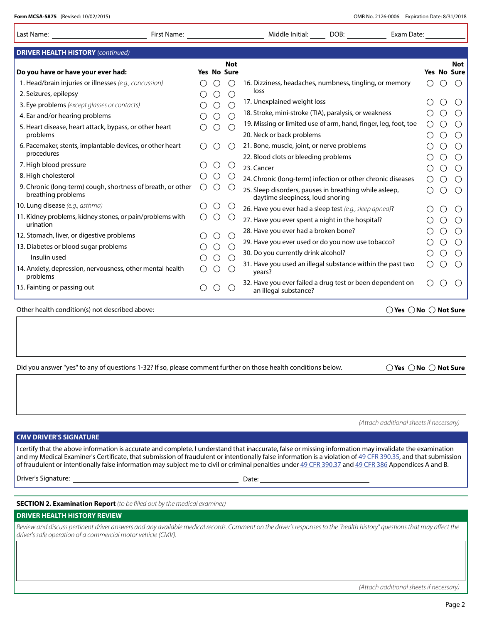| Form MCSA-5875 (Revised: 10/02/2015)<br>OMB No. 2126-0006 Expiration Date: 8/31/2018                                                                                                                                                                                                                                                                                                                                                                                              |  |                                             |                           |                                                                                                                                                                        |  |                                                 |                                                 |  |  |
|-----------------------------------------------------------------------------------------------------------------------------------------------------------------------------------------------------------------------------------------------------------------------------------------------------------------------------------------------------------------------------------------------------------------------------------------------------------------------------------|--|---------------------------------------------|---------------------------|------------------------------------------------------------------------------------------------------------------------------------------------------------------------|--|-------------------------------------------------|-------------------------------------------------|--|--|
| First Name:<br>Last Name:                                                                                                                                                                                                                                                                                                                                                                                                                                                         |  |                                             |                           | Middle Initial:<br>DOB:<br>Exam Date:                                                                                                                                  |  |                                                 |                                                 |  |  |
| <b>DRIVER HEALTH HISTORY (continued)</b>                                                                                                                                                                                                                                                                                                                                                                                                                                          |  |                                             |                           |                                                                                                                                                                        |  |                                                 |                                                 |  |  |
| Do you have or have your ever had:                                                                                                                                                                                                                                                                                                                                                                                                                                                |  |                                             | <b>Not</b><br>Yes No Sure |                                                                                                                                                                        |  |                                                 | <b>Not</b><br>Yes No Sure                       |  |  |
| 1. Head/brain injuries or illnesses (e.g., concussion)                                                                                                                                                                                                                                                                                                                                                                                                                            |  |                                             |                           | 16. Dizziness, headaches, numbness, tingling, or memory                                                                                                                |  | ( )                                             | $\left( \right)$                                |  |  |
| 2. Seizures, epilepsy                                                                                                                                                                                                                                                                                                                                                                                                                                                             |  | ()                                          | $($ )                     | loss                                                                                                                                                                   |  |                                                 |                                                 |  |  |
| 3. Eye problems (except glasses or contacts)                                                                                                                                                                                                                                                                                                                                                                                                                                      |  | $\bigcirc$                                  | $\bigcirc$                | 17. Unexplained weight loss                                                                                                                                            |  |                                                 |                                                 |  |  |
| 4. Ear and/or hearing problems                                                                                                                                                                                                                                                                                                                                                                                                                                                    |  | $\left(\begin{array}{c} \end{array}\right)$ | $\bigcirc$                | 18. Stroke, mini-stroke (TIA), paralysis, or weakness                                                                                                                  |  |                                                 |                                                 |  |  |
| 5. Heart disease, heart attack, bypass, or other heart                                                                                                                                                                                                                                                                                                                                                                                                                            |  |                                             | $\left(\right)$           | 19. Missing or limited use of arm, hand, finger, leg, foot, toe                                                                                                        |  | $\left( \begin{array}{c} 1 \end{array} \right)$ | $\bigcirc$                                      |  |  |
| problems                                                                                                                                                                                                                                                                                                                                                                                                                                                                          |  |                                             |                           | 20. Neck or back problems                                                                                                                                              |  | Ő                                               | $\circ$                                         |  |  |
| 6. Pacemaker, stents, implantable devices, or other heart                                                                                                                                                                                                                                                                                                                                                                                                                         |  | $\left( \quad \right)$                      | $\left(\right)$           | 21. Bone, muscle, joint, or nerve problems                                                                                                                             |  | ( )                                             |                                                 |  |  |
| procedures                                                                                                                                                                                                                                                                                                                                                                                                                                                                        |  |                                             |                           | 22. Blood clots or bleeding problems                                                                                                                                   |  | $\left( \right)$                                | $\bigcirc$                                      |  |  |
| 7. High blood pressure                                                                                                                                                                                                                                                                                                                                                                                                                                                            |  |                                             |                           | 23. Cancer                                                                                                                                                             |  | $\circ$                                         | $\left( \right)$                                |  |  |
| 8. High cholesterol                                                                                                                                                                                                                                                                                                                                                                                                                                                               |  |                                             |                           | 24. Chronic (long-term) infection or other chronic diseases                                                                                                            |  | $\left( \begin{array}{c} 1 \end{array} \right)$ |                                                 |  |  |
| 9. Chronic (long-term) cough, shortness of breath, or other<br>breathing problems                                                                                                                                                                                                                                                                                                                                                                                                 |  |                                             |                           | 25. Sleep disorders, pauses in breathing while asleep,<br>daytime sleepiness, loud snoring                                                                             |  | ( )                                             | $\bigcirc$                                      |  |  |
| 10. Lung disease (e.g., asthma)                                                                                                                                                                                                                                                                                                                                                                                                                                                   |  |                                             |                           | 26. Have you ever had a sleep test (e.g., sleep apnea)?                                                                                                                |  |                                                 |                                                 |  |  |
| 11. Kidney problems, kidney stones, or pain/problems with<br>urination                                                                                                                                                                                                                                                                                                                                                                                                            |  |                                             |                           | 27. Have you ever spent a night in the hospital?                                                                                                                       |  | ()                                              | $\left( \begin{array}{c} 1 \end{array} \right)$ |  |  |
| 12. Stomach, liver, or digestive problems                                                                                                                                                                                                                                                                                                                                                                                                                                         |  |                                             |                           | 28. Have you ever had a broken bone?                                                                                                                                   |  | $\left( \right)$                                | $\left( \right)$                                |  |  |
| 13. Diabetes or blood sugar problems                                                                                                                                                                                                                                                                                                                                                                                                                                              |  |                                             |                           | 29. Have you ever used or do you now use tobacco?                                                                                                                      |  |                                                 |                                                 |  |  |
| Insulin used                                                                                                                                                                                                                                                                                                                                                                                                                                                                      |  |                                             |                           | 30. Do you currently drink alcohol?                                                                                                                                    |  |                                                 |                                                 |  |  |
| 14. Anxiety, depression, nervousness, other mental health<br>problems                                                                                                                                                                                                                                                                                                                                                                                                             |  |                                             |                           | 31. Have you used an illegal substance within the past two<br>years?                                                                                                   |  |                                                 |                                                 |  |  |
| 15. Fainting or passing out                                                                                                                                                                                                                                                                                                                                                                                                                                                       |  |                                             |                           | 32. Have you ever failed a drug test or been dependent on<br>an illegal substance?                                                                                     |  |                                                 |                                                 |  |  |
| Other health condition(s) not described above:<br>$\bigcirc$ Yes $\bigcirc$ No $\bigcirc$ Not Sure                                                                                                                                                                                                                                                                                                                                                                                |  |                                             |                           |                                                                                                                                                                        |  |                                                 |                                                 |  |  |
| Did you answer "yes" to any of questions 1-32? If so, please comment further on those health conditions below.<br>$\bigcirc$ Yes $\bigcirc$ No $\bigcirc$ Not Sure                                                                                                                                                                                                                                                                                                                |  |                                             |                           |                                                                                                                                                                        |  |                                                 |                                                 |  |  |
|                                                                                                                                                                                                                                                                                                                                                                                                                                                                                   |  |                                             |                           | (Attach additional sheets if necessary)                                                                                                                                |  |                                                 |                                                 |  |  |
| <b>CMV DRIVER'S SIGNATURE</b>                                                                                                                                                                                                                                                                                                                                                                                                                                                     |  |                                             |                           |                                                                                                                                                                        |  |                                                 |                                                 |  |  |
| I certify that the above information is accurate and complete. I understand that inaccurate, false or missing information may invalidate the examination<br>and my Medical Examiner's Certificate, that submission of fraudulent or intentionally false information is a violation of 49 CFR 390.35, and that submission<br>of fraudulent or intentionally false information may subject me to civil or criminal penalties under 49 CFR 390.37 and 49 CFR 386 Appendices A and B. |  |                                             |                           |                                                                                                                                                                        |  |                                                 |                                                 |  |  |
|                                                                                                                                                                                                                                                                                                                                                                                                                                                                                   |  |                                             |                           |                                                                                                                                                                        |  |                                                 |                                                 |  |  |
| <b>SECTION 2. Examination Report</b> (to be filled out by the medical examiner)                                                                                                                                                                                                                                                                                                                                                                                                   |  |                                             |                           |                                                                                                                                                                        |  |                                                 |                                                 |  |  |
| <b>DRIVER HEALTH HISTORY REVIEW</b>                                                                                                                                                                                                                                                                                                                                                                                                                                               |  |                                             |                           |                                                                                                                                                                        |  |                                                 |                                                 |  |  |
| driver's safe operation of a commercial motor vehicle (CMV).                                                                                                                                                                                                                                                                                                                                                                                                                      |  |                                             |                           | Review and discuss pertinent driver answers and any available medical records. Comment on the driver's responses to the "health history" questions that may affect the |  |                                                 |                                                 |  |  |
|                                                                                                                                                                                                                                                                                                                                                                                                                                                                                   |  |                                             |                           |                                                                                                                                                                        |  |                                                 |                                                 |  |  |

(Attach additional sheets if necessary)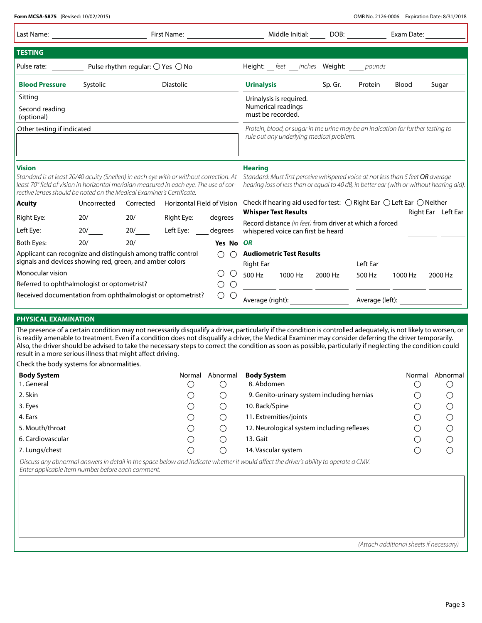| Last Name:<br><b>TESTING</b><br>Pulse rate:<br><b>Blood Pressure</b><br>Sitting<br>Second reading<br>(optional)<br>Other testing if indicated<br><b>Vision</b><br>Standard is at least 20/40 acuity (Snellen) in each eye with or without correction. At<br>least 70° field of vision in horizontal meridian measured in each eye. The use of cor-<br>rective lenses should be noted on the Medical Examiner's Certificate.<br><b>Acuity</b><br>Right Eye:<br>Left Eye:                                                                                                                                | Systolic<br>Uncorrected<br>20/ | Pulse rhythm regular: $\bigcirc$ Yes $\bigcirc$ No<br>Corrected<br>20/ | First Name:<br>Diastolic<br>Horizontal Field of Vision |                                        | <b>Urinalysis</b><br>Urinalysis is required.<br>Numerical readings<br>must be recorded.<br><b>Hearing</b><br><b>Whisper Test Results</b> |         | Middle Initial: | DOB:<br>Height: <i>__ feet ___ inches</i> Weight:<br>Sp. Gr.<br>rule out any underlying medical problem. | pounds<br>Protein                                       | Exam Date:<br><b>Blood</b><br>Protein, blood, or sugar in the urine may be an indication for further testing to<br>Standard: Must first perceive whispered voice at not less than 5 feet OR average<br>hearing loss of less than or equal to 40 dB, in better ear (with or without hearing aid).<br>Check if hearing aid used for test: $\bigcirc$ Right Ear $\bigcirc$ Left Ear $\bigcirc$ Neither | Sugar                                                   |
|--------------------------------------------------------------------------------------------------------------------------------------------------------------------------------------------------------------------------------------------------------------------------------------------------------------------------------------------------------------------------------------------------------------------------------------------------------------------------------------------------------------------------------------------------------------------------------------------------------|--------------------------------|------------------------------------------------------------------------|--------------------------------------------------------|----------------------------------------|------------------------------------------------------------------------------------------------------------------------------------------|---------|-----------------|----------------------------------------------------------------------------------------------------------|---------------------------------------------------------|-----------------------------------------------------------------------------------------------------------------------------------------------------------------------------------------------------------------------------------------------------------------------------------------------------------------------------------------------------------------------------------------------------|---------------------------------------------------------|
|                                                                                                                                                                                                                                                                                                                                                                                                                                                                                                                                                                                                        |                                |                                                                        |                                                        |                                        |                                                                                                                                          |         |                 |                                                                                                          |                                                         |                                                                                                                                                                                                                                                                                                                                                                                                     |                                                         |
|                                                                                                                                                                                                                                                                                                                                                                                                                                                                                                                                                                                                        |                                |                                                                        |                                                        |                                        |                                                                                                                                          |         |                 |                                                                                                          |                                                         |                                                                                                                                                                                                                                                                                                                                                                                                     |                                                         |
|                                                                                                                                                                                                                                                                                                                                                                                                                                                                                                                                                                                                        |                                |                                                                        |                                                        |                                        |                                                                                                                                          |         |                 |                                                                                                          |                                                         |                                                                                                                                                                                                                                                                                                                                                                                                     |                                                         |
|                                                                                                                                                                                                                                                                                                                                                                                                                                                                                                                                                                                                        |                                |                                                                        |                                                        |                                        |                                                                                                                                          |         |                 |                                                                                                          |                                                         |                                                                                                                                                                                                                                                                                                                                                                                                     |                                                         |
|                                                                                                                                                                                                                                                                                                                                                                                                                                                                                                                                                                                                        |                                |                                                                        |                                                        |                                        |                                                                                                                                          |         |                 |                                                                                                          |                                                         |                                                                                                                                                                                                                                                                                                                                                                                                     |                                                         |
|                                                                                                                                                                                                                                                                                                                                                                                                                                                                                                                                                                                                        |                                |                                                                        |                                                        |                                        |                                                                                                                                          |         |                 |                                                                                                          |                                                         |                                                                                                                                                                                                                                                                                                                                                                                                     |                                                         |
|                                                                                                                                                                                                                                                                                                                                                                                                                                                                                                                                                                                                        |                                |                                                                        |                                                        |                                        |                                                                                                                                          |         |                 |                                                                                                          |                                                         |                                                                                                                                                                                                                                                                                                                                                                                                     |                                                         |
|                                                                                                                                                                                                                                                                                                                                                                                                                                                                                                                                                                                                        |                                |                                                                        |                                                        |                                        |                                                                                                                                          |         |                 |                                                                                                          |                                                         |                                                                                                                                                                                                                                                                                                                                                                                                     |                                                         |
|                                                                                                                                                                                                                                                                                                                                                                                                                                                                                                                                                                                                        |                                |                                                                        |                                                        |                                        |                                                                                                                                          |         |                 |                                                                                                          |                                                         | Right Ear Left Ear                                                                                                                                                                                                                                                                                                                                                                                  |                                                         |
|                                                                                                                                                                                                                                                                                                                                                                                                                                                                                                                                                                                                        |                                |                                                                        | Right Eye: ____ degrees                                |                                        |                                                                                                                                          |         |                 |                                                                                                          | Record distance (in feet) from driver at which a forced |                                                                                                                                                                                                                                                                                                                                                                                                     |                                                         |
|                                                                                                                                                                                                                                                                                                                                                                                                                                                                                                                                                                                                        | 20/                            | 20/                                                                    | Left Eye: $\_\_$                                       | degrees                                | whispered voice can first be heard                                                                                                       |         |                 |                                                                                                          |                                                         |                                                                                                                                                                                                                                                                                                                                                                                                     |                                                         |
| Both Eyes:                                                                                                                                                                                                                                                                                                                                                                                                                                                                                                                                                                                             | 20/                            | 20/                                                                    |                                                        | Yes No OR                              |                                                                                                                                          |         |                 |                                                                                                          |                                                         |                                                                                                                                                                                                                                                                                                                                                                                                     |                                                         |
| Applicant can recognize and distinguish among traffic control<br>signals and devices showing red, green, and amber colors                                                                                                                                                                                                                                                                                                                                                                                                                                                                              |                                |                                                                        |                                                        | $\bigcirc$<br>$\bigcirc$               | <b>Audiometric Test Results</b><br><b>Right Ear</b>                                                                                      |         |                 |                                                                                                          | Left Ear                                                |                                                                                                                                                                                                                                                                                                                                                                                                     |                                                         |
| Monocular vision                                                                                                                                                                                                                                                                                                                                                                                                                                                                                                                                                                                       |                                |                                                                        |                                                        | $\circlearrowright$<br>$\left(\right)$ | 500 Hz                                                                                                                                   | 1000 Hz |                 | 2000 Hz                                                                                                  | 500 Hz                                                  | 1000 Hz                                                                                                                                                                                                                                                                                                                                                                                             | 2000 Hz                                                 |
| Referred to ophthalmologist or optometrist?                                                                                                                                                                                                                                                                                                                                                                                                                                                                                                                                                            |                                |                                                                        |                                                        | $\bigcirc$<br>О                        |                                                                                                                                          |         |                 |                                                                                                          |                                                         |                                                                                                                                                                                                                                                                                                                                                                                                     |                                                         |
| Received documentation from ophthalmologist or optometrist?                                                                                                                                                                                                                                                                                                                                                                                                                                                                                                                                            |                                |                                                                        |                                                        | O                                      | Average (right):                                                                                                                         |         |                 |                                                                                                          | Average (left):                                         |                                                                                                                                                                                                                                                                                                                                                                                                     |                                                         |
| <b>PHYSICAL EXAMINATION</b>                                                                                                                                                                                                                                                                                                                                                                                                                                                                                                                                                                            |                                |                                                                        |                                                        |                                        |                                                                                                                                          |         |                 |                                                                                                          |                                                         |                                                                                                                                                                                                                                                                                                                                                                                                     |                                                         |
| The presence of a certain condition may not necessarily disqualify a driver, particularly if the condition is controlled adequately, is not likely to worsen, or<br>is readily amenable to treatment. Even if a condition does not disqualify a driver, the Medical Examiner may consider deferring the driver temporarily.<br>Also, the driver should be advised to take the necessary steps to correct the condition as soon as possible, particularly if neglecting the condition could<br>result in a more serious illness that might affect driving.<br>Check the body systems for abnormalities. |                                |                                                                        |                                                        |                                        |                                                                                                                                          |         |                 |                                                                                                          |                                                         |                                                                                                                                                                                                                                                                                                                                                                                                     |                                                         |
| <b>Body System</b>                                                                                                                                                                                                                                                                                                                                                                                                                                                                                                                                                                                     |                                |                                                                        |                                                        | Normal Abnormal                        | <b>Body System</b>                                                                                                                       |         |                 |                                                                                                          |                                                         |                                                                                                                                                                                                                                                                                                                                                                                                     | Normal Abnormal                                         |
| 1. General                                                                                                                                                                                                                                                                                                                                                                                                                                                                                                                                                                                             |                                |                                                                        | $\circlearrowright$                                    | $\circlearrowright$                    | 8. Abdomen                                                                                                                               |         |                 |                                                                                                          |                                                         | Ő                                                                                                                                                                                                                                                                                                                                                                                                   | O                                                       |
| 2. Skin                                                                                                                                                                                                                                                                                                                                                                                                                                                                                                                                                                                                |                                |                                                                        | $\circlearrowright$                                    | O                                      |                                                                                                                                          |         |                 | 9. Genito-urinary system including hernias                                                               |                                                         | Ő                                                                                                                                                                                                                                                                                                                                                                                                   |                                                         |
| 3. Eyes                                                                                                                                                                                                                                                                                                                                                                                                                                                                                                                                                                                                |                                |                                                                        | O                                                      | ◯                                      | 10. Back/Spine                                                                                                                           |         |                 |                                                                                                          |                                                         | $\bigcirc$                                                                                                                                                                                                                                                                                                                                                                                          | $\bigcirc$                                              |
| 4. Ears                                                                                                                                                                                                                                                                                                                                                                                                                                                                                                                                                                                                |                                |                                                                        | O                                                      | $\circlearrowright$                    | 11. Extremities/joints                                                                                                                   |         |                 |                                                                                                          |                                                         | O                                                                                                                                                                                                                                                                                                                                                                                                   | $\begin{array}{ccc} 0 & 0 & 0 \\ 0 & 0 & 0 \end{array}$ |
| 5. Mouth/throat                                                                                                                                                                                                                                                                                                                                                                                                                                                                                                                                                                                        |                                |                                                                        |                                                        | ( )                                    |                                                                                                                                          |         |                 | 12. Neurological system including reflexes                                                               |                                                         | O                                                                                                                                                                                                                                                                                                                                                                                                   |                                                         |
| 6. Cardiovascular                                                                                                                                                                                                                                                                                                                                                                                                                                                                                                                                                                                      |                                |                                                                        |                                                        | ∩                                      | 13. Gait                                                                                                                                 |         |                 |                                                                                                          |                                                         | $\bigcirc$                                                                                                                                                                                                                                                                                                                                                                                          |                                                         |
| 7. Lungs/chest                                                                                                                                                                                                                                                                                                                                                                                                                                                                                                                                                                                         |                                |                                                                        |                                                        | O                                      | 14. Vascular system                                                                                                                      |         |                 |                                                                                                          |                                                         | $\bigcirc$                                                                                                                                                                                                                                                                                                                                                                                          |                                                         |

Enter applicable item number before each comment.

(Attach additional sheets if necessary)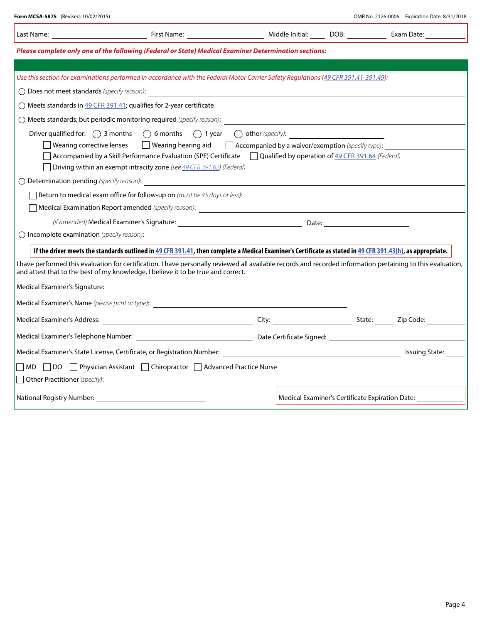|                                                                                                                                                                                                          |                                                                                                                                                              |  |  | Exam Date:                                                   |  |  |  |  |
|----------------------------------------------------------------------------------------------------------------------------------------------------------------------------------------------------------|--------------------------------------------------------------------------------------------------------------------------------------------------------------|--|--|--------------------------------------------------------------|--|--|--|--|
| Please complete only one of the following (Federal or State) Medical Examiner Determination sections:                                                                                                    |                                                                                                                                                              |  |  |                                                              |  |  |  |  |
|                                                                                                                                                                                                          |                                                                                                                                                              |  |  |                                                              |  |  |  |  |
|                                                                                                                                                                                                          | Use this section for examinations performed in accordance with the Federal Motor Carrier Safety Requlations (49 CFR 391.41-391.49):                          |  |  |                                                              |  |  |  |  |
|                                                                                                                                                                                                          | $\bigcirc$ Does not meet standards (specify reason): $\overline{\phantom{a}}$                                                                                |  |  |                                                              |  |  |  |  |
|                                                                                                                                                                                                          | $\bigcirc$ Meets standards in 49 CFR 391.41; qualifies for 2-year certificate                                                                                |  |  |                                                              |  |  |  |  |
|                                                                                                                                                                                                          |                                                                                                                                                              |  |  |                                                              |  |  |  |  |
|                                                                                                                                                                                                          | Driver qualified for: $\bigcirc$ 3 months $\bigcirc$ 6 months $\bigcirc$ 1 year $\bigcirc$ other (specify):                                                  |  |  |                                                              |  |  |  |  |
| Wearing corrective lenses $\Box$ Wearing hearing aid $\Box$ Accompanied by a waiver/exemption (specify type):                                                                                            |                                                                                                                                                              |  |  |                                                              |  |  |  |  |
| $\Box$ Accompanied by a Skill Performance Evaluation (SPE) Certificate $\Box$ Qualified by operation of 49 CFR 391.64 (Federal)<br>Driving within an exempt intracity zone (see 49 CFR 391.62) (Federal) |                                                                                                                                                              |  |  |                                                              |  |  |  |  |
|                                                                                                                                                                                                          |                                                                                                                                                              |  |  |                                                              |  |  |  |  |
|                                                                                                                                                                                                          |                                                                                                                                                              |  |  |                                                              |  |  |  |  |
| □ Return to medical exam office for follow-up on (must be 45 days or less): _______________________                                                                                                      |                                                                                                                                                              |  |  |                                                              |  |  |  |  |
|                                                                                                                                                                                                          |                                                                                                                                                              |  |  |                                                              |  |  |  |  |
|                                                                                                                                                                                                          |                                                                                                                                                              |  |  |                                                              |  |  |  |  |
|                                                                                                                                                                                                          | If the driver meets the standards outlined in 49 CFR 391.41, then complete a Medical Examiner's Certificate as stated in 49 CFR 391.43(h), as appropriate.   |  |  |                                                              |  |  |  |  |
|                                                                                                                                                                                                          | I have performed this evaluation for certification. I have personally reviewed all available records and recorded information pertaining to this evaluation, |  |  |                                                              |  |  |  |  |
|                                                                                                                                                                                                          | and attest that to the best of my knowledge, I believe it to be true and correct.                                                                            |  |  |                                                              |  |  |  |  |
|                                                                                                                                                                                                          |                                                                                                                                                              |  |  |                                                              |  |  |  |  |
|                                                                                                                                                                                                          |                                                                                                                                                              |  |  |                                                              |  |  |  |  |
|                                                                                                                                                                                                          |                                                                                                                                                              |  |  |                                                              |  |  |  |  |
|                                                                                                                                                                                                          |                                                                                                                                                              |  |  |                                                              |  |  |  |  |
|                                                                                                                                                                                                          |                                                                                                                                                              |  |  | <b>Issuing State:</b>                                        |  |  |  |  |
|                                                                                                                                                                                                          | ◯ MD ◯ DO ◯ Physician Assistant ◯ Chiropractor ◯ Advanced Practice Nurse                                                                                     |  |  |                                                              |  |  |  |  |
|                                                                                                                                                                                                          |                                                                                                                                                              |  |  |                                                              |  |  |  |  |
|                                                                                                                                                                                                          |                                                                                                                                                              |  |  | Medical Examiner's Certificate Expiration Date: ____________ |  |  |  |  |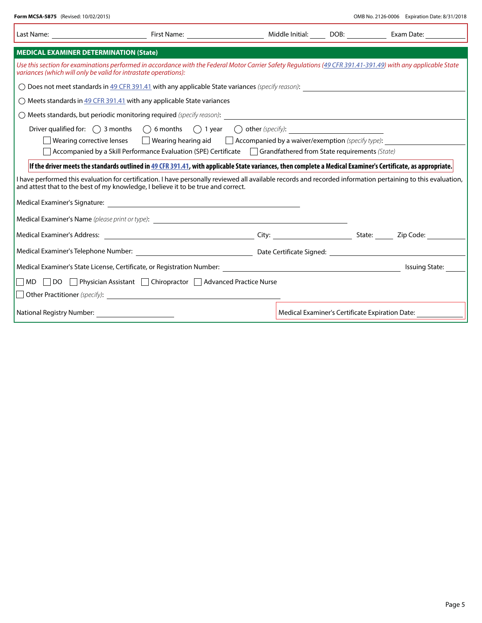| Last Name: <u>__________________________</u>                                                                                                                                                                                                      | First Name: <u>_______________________</u>                                                                                                                                                                               |  | Middle Initial: DOB: 1999 Middle Initial:       | Exam Date:     |  |  |  |  |
|---------------------------------------------------------------------------------------------------------------------------------------------------------------------------------------------------------------------------------------------------|--------------------------------------------------------------------------------------------------------------------------------------------------------------------------------------------------------------------------|--|-------------------------------------------------|----------------|--|--|--|--|
| <b>MEDICAL EXAMINER DETERMINATION (State)</b>                                                                                                                                                                                                     |                                                                                                                                                                                                                          |  |                                                 |                |  |  |  |  |
| Use this section for examinations performed in accordance with the Federal Motor Carrier Safety Regulations (49 CFR 391.41-391.49) with any applicable State<br>variances (which will only be valid for intrastate operations):                   |                                                                                                                                                                                                                          |  |                                                 |                |  |  |  |  |
| $\bigcirc$ Does not meet standards in $49$ CFR 391.41 with any applicable State variances (specify reason):                                                                                                                                       |                                                                                                                                                                                                                          |  |                                                 |                |  |  |  |  |
| $\bigcirc$ Meets standards in 49 CFR 391.41 with any applicable State variances                                                                                                                                                                   |                                                                                                                                                                                                                          |  |                                                 |                |  |  |  |  |
|                                                                                                                                                                                                                                                   |                                                                                                                                                                                                                          |  |                                                 |                |  |  |  |  |
|                                                                                                                                                                                                                                                   | Driver qualified for: $\bigcap$ 3 months $\bigcap$ 6 months $\bigcap$ 1 year $\bigcap$ other (specify):<br>Wearing corrective lenses $\Box$ Wearing hearing aid $\Box$ Accompanied by a waiver/exemption (specify type): |  |                                                 |                |  |  |  |  |
| Accompanied by a Skill Performance Evaluation (SPE) Certificate Grandfathered from State requirements (State)                                                                                                                                     |                                                                                                                                                                                                                          |  |                                                 |                |  |  |  |  |
| If the driver meets the standards outlined in 49 CFR 391.41, with applicable State variances, then complete a Medical Examiner's Certificate, as appropriate.                                                                                     |                                                                                                                                                                                                                          |  |                                                 |                |  |  |  |  |
| I have performed this evaluation for certification. I have personally reviewed all available records and recorded information pertaining to this evaluation,<br>and attest that to the best of my knowledge, I believe it to be true and correct. |                                                                                                                                                                                                                          |  |                                                 |                |  |  |  |  |
|                                                                                                                                                                                                                                                   | Medical Examiner's Signature: New York School and School and School and School and School and School and School                                                                                                          |  |                                                 |                |  |  |  |  |
|                                                                                                                                                                                                                                                   |                                                                                                                                                                                                                          |  |                                                 |                |  |  |  |  |
|                                                                                                                                                                                                                                                   |                                                                                                                                                                                                                          |  |                                                 |                |  |  |  |  |
|                                                                                                                                                                                                                                                   |                                                                                                                                                                                                                          |  |                                                 |                |  |  |  |  |
|                                                                                                                                                                                                                                                   |                                                                                                                                                                                                                          |  |                                                 | Issuing State: |  |  |  |  |
|                                                                                                                                                                                                                                                   | ■ MD DO Physician Assistant ■ Chiropractor ■ Advanced Practice Nurse                                                                                                                                                     |  |                                                 |                |  |  |  |  |
|                                                                                                                                                                                                                                                   | $\Box$ Other Practitioner (specify):                                                                                                                                                                                     |  |                                                 |                |  |  |  |  |
| National Registry Number: <u>________________</u>                                                                                                                                                                                                 |                                                                                                                                                                                                                          |  | Medical Examiner's Certificate Expiration Date: |                |  |  |  |  |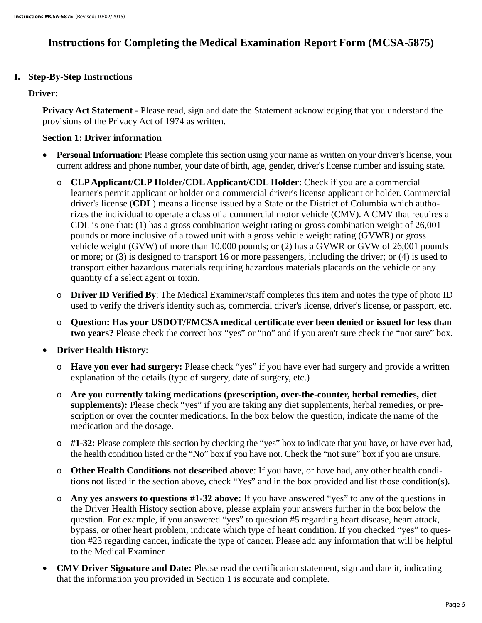## **Instructions for Completing the Medical Examination Report Form (MCSA-5875)**

## **I. Step-By-Step Instructions**

#### **Driver:**

**Privacy Act Statement** - Please read, sign and date the Statement acknowledging that you understand the provisions of the Privacy Act of 1974 as written.

### **Section 1: Driver information**

- Personal Information: Please complete this section using your name as written on your driver's license, your current address and phone number, your date of birth, age, gender, driver's license number and issuing state.
	- o **CLP Applicant/CLP Holder/CDL Applicant/CDL Holder**: Check if you are a commercial learner's permit applicant or holder or a commercial driver's license applicant or holder. Commercial driver's license (**CDL**) means a license issued by a State or the District of Columbia which authorizes the individual to operate a class of a commercial motor vehicle (CMV). A CMV that requires a CDL is one that: (1) has a gross combination weight rating or gross combination weight of 26,001 pounds or more inclusive of a towed unit with a gross vehicle weight rating (GVWR) or gross vehicle weight (GVW) of more than 10,000 pounds; or (2) has a GVWR or GVW of 26,001 pounds or more; or (3) is designed to transport 16 or more passengers, including the driver; or (4) is used to transport either hazardous materials requiring hazardous materials placards on the vehicle or any quantity of a select agent or toxin.
	- o **Driver ID Verified By**: The Medical Examiner/staff completes this item and notes the type of photo ID used to verify the driver's identity such as, commercial driver's license, driver's license, or passport, etc.
	- o **Question: Has your USDOT/FMCSA medical certificate ever been denied or issued for less than two years?** Please check the correct box "yes" or "no" and if you aren't sure check the "not sure" box.
- **Driver Health History:** 
	- o **Have you ever had surgery:** Please check "yes" if you have ever had surgery and provide a written explanation of the details (type of surgery, date of surgery, etc.)
	- o **Are you currently taking medications (prescription, over-the-counter, herbal remedies, diet supplements):** Please check "yes" if you are taking any diet supplements, herbal remedies, or prescription or over the counter medications. In the box below the question, indicate the name of the medication and the dosage.
	- o **#1-32:** Please complete this section by checking the "yes" box to indicate that you have, or have ever had, the health condition listed or the "No" box if you have not. Check the "not sure" box if you are unsure.
	- o **Other Health Conditions not described above**: If you have, or have had, any other health conditions not listed in the section above, check "Yes" and in the box provided and list those condition(s).
	- o **Any yes answers to questions #1-32 above:** If you have answered "yes" to any of the questions in the Driver Health History section above, please explain your answers further in the box below the question. For example, if you answered "yes" to question #5 regarding heart disease, heart attack, bypass, or other heart problem, indicate which type of heart condition. If you checked "yes" to question #23 regarding cancer, indicate the type of cancer. Please add any information that will be helpful to the Medical Examiner.
- **CMV Driver Signature and Date:** Please read the certification statement, sign and date it, indicating that the information you provided in Section 1 is accurate and complete.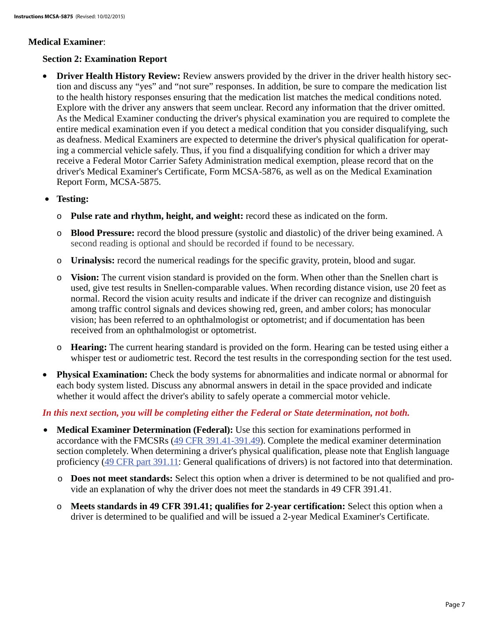#### **Medical Examiner**:

## **Section 2: Examination Report**

- **Driver Health History Review:** Review answers provided by the driver in the driver health history section and discuss any "yes" and "not sure" responses. In addition, be sure to compare the medication list to the health history responses ensuring that the medication list matches the medical conditions noted. Explore with the driver any answers that seem unclear. Record any information that the driver omitted. As the Medical Examiner conducting the driver's physical examination you are required to complete the entire medical examination even if you detect a medical condition that you consider disqualifying, such as deafness. Medical Examiners are expected to determine the driver's physical qualification for operating a commercial vehicle safely. Thus, if you find a disqualifying condition for which a driver may receive a Federal Motor Carrier Safety Administration medical exemption, please record that on the driver's Medical Examiner's Certificate, Form MCSA-5876, as well as on the Medical Examination Report Form, MCSA-5875.
- **Testing:** 
	- o **Pulse rate and rhythm, height, and weight:** record these as indicated on the form.
	- o **Blood Pressure:** record the blood pressure (systolic and diastolic) of the driver being examined. A second reading is optional and should be recorded if found to be necessary.
	- o **Urinalysis:** record the numerical readings for the specific gravity, protein, blood and sugar.
	- o **Vision:** The current vision standard is provided on the form. When other than the Snellen chart is used, give test results in Snellen-comparable values. When recording distance vision, use 20 feet as normal. Record the vision acuity results and indicate if the driver can recognize and distinguish among traffic control signals and devices showing red, green, and amber colors; has monocular vision; has been referred to an ophthalmologist or optometrist; and if documentation has been received from an ophthalmologist or optometrist.
	- o **Hearing:** The current hearing standard is provided on the form. Hearing can be tested using either a whisper test or audiometric test. Record the test results in the corresponding section for the test used.
- **Physical Examination:** Check the body systems for abnormalities and indicate normal or abnormal for each body system listed. Discuss any abnormal answers in detail in the space provided and indicate whether it would affect the driver's ability to safely operate a commercial motor vehicle.

#### *In this next section, you will be completing either the Federal or State determination, not both.*

- **Medical Examiner Determination (Federal):** Use this section for examinations performed in accordance with the FMCSRs (49 CFR 391.41-391.49). Complete the medical examiner determination section completely. When determining a driver's physical qualification, please note that English language proficiency (49 CFR part 391.11: General qualifications of drivers) is not factored into that determination.
	- o **Does not meet standards:** Select this option when a driver is determined to be not qualified and provide an explanation of why the driver does not meet the standards in 49 CFR 391.41.
	- o **Meets standards in 49 CFR 391.41; qualifies for 2-year certification:** Select this option when a driver is determined to be qualified and will be issued a 2-year Medical Examiner's Certificate.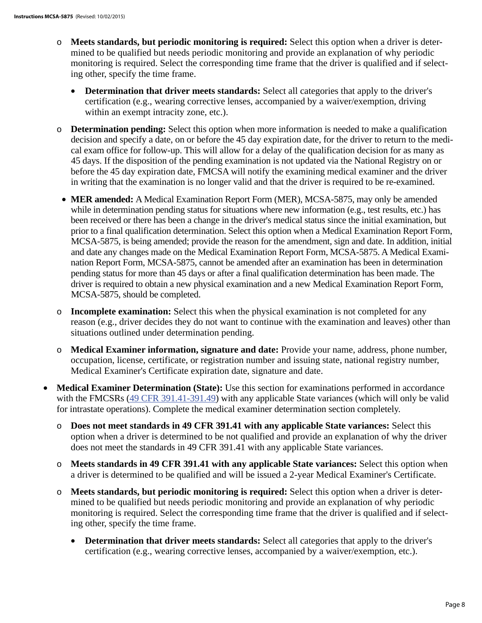- o **Meets standards, but periodic monitoring is required:** Select this option when a driver is determined to be qualified but needs periodic monitoring and provide an explanation of why periodic monitoring is required. Select the corresponding time frame that the driver is qualified and if selecting other, specify the time frame.
	- **Determination that driver meets standards:** Select all categories that apply to the driver's certification (e.g., wearing corrective lenses, accompanied by a waiver/exemption, driving within an exempt intracity zone, etc.).
- o **Determination pending:** Select this option when more information is needed to make a qualification decision and specify a date, on or before the 45 day expiration date, for the driver to return to the medical exam office for follow-up. This will allow for a delay of the qualification decision for as many as 45 days. If the disposition of the pending examination is not updated via the National Registry on or before the 45 day expiration date, FMCSA will notify the examining medical examiner and the driver in writing that the examination is no longer valid and that the driver is required to be re-examined.
- **MER amended:** A Medical Examination Report Form (MER), MCSA-5875, may only be amended while in determination pending status for situations where new information (e.g., test results, etc.) has been received or there has been a change in the driver's medical status since the initial examination, but prior to a final qualification determination. Select this option when a Medical Examination Report Form, MCSA-5875, is being amended; provide the reason for the amendment, sign and date. In addition, initial and date any changes made on the Medical Examination Report Form, MCSA-5875. A Medical Examination Report Form, MCSA-5875, cannot be amended after an examination has been in determination pending status for more than 45 days or after a final qualification determination has been made. The driver is required to obtain a new physical examination and a new Medical Examination Report Form, MCSA-5875, should be completed.
- o **Incomplete examination:** Select this when the physical examination is not completed for any reason (e.g., driver decides they do not want to continue with the examination and leaves) other than situations outlined under determination pending.
- o **Medical Examiner information, signature and date:** Provide your name, address, phone number, occupation, license, certificate, or registration number and issuing state, national registry number, Medical Examiner's Certificate expiration date, signature and date.
- **Medical Examiner Determination (State):** Use this section for examinations performed in accordance with the FMCSRs (49 CFR 391.41-391.49) with any applicable State variances (which will only be valid for intrastate operations). Complete the medical examiner determination section completely.
	- o **Does not meet standards in 49 CFR 391.41 with any applicable State variances:** Select this option when a driver is determined to be not qualified and provide an explanation of why the driver does not meet the standards in 49 CFR 391.41 with any applicable State variances.
	- o **Meets standards in 49 CFR 391.41 with any applicable State variances:** Select this option when a driver is determined to be qualified and will be issued a 2-year Medical Examiner's Certificate.
	- o **Meets standards, but periodic monitoring is required:** Select this option when a driver is determined to be qualified but needs periodic monitoring and provide an explanation of why periodic monitoring is required. Select the corresponding time frame that the driver is qualified and if selecting other, specify the time frame.
		- **Determination that driver meets standards:** Select all categories that apply to the driver's certification (e.g., wearing corrective lenses, accompanied by a waiver/exemption, etc.).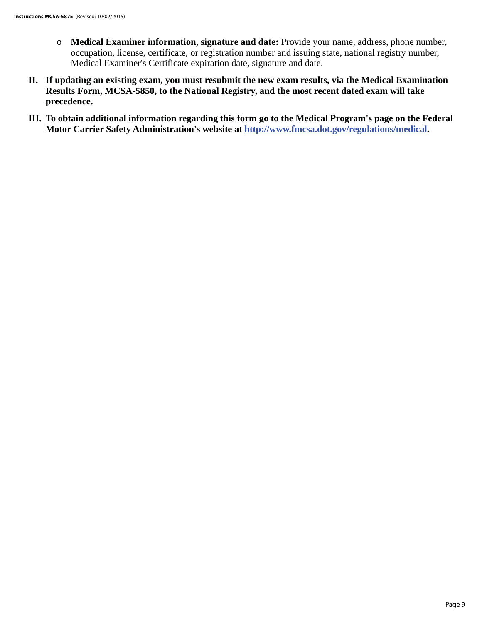- o **Medical Examiner information, signature and date:** Provide your name, address, phone number, occupation, license, certificate, or registration number and issuing state, national registry number, Medical Examiner's Certificate expiration date, signature and date.
- **II. If updating an existing exam, you must resubmit the new exam results, via the Medical Examination Results Form, MCSA-5850, to the National Registry, and the most recent dated exam will take precedence.**
- **III. To obtain additional information regarding this form go to the Medical Program's page on the Federal Motor Carrier Safety Administration's website at http://www.fmcsa.dot.gov/regulations/medical.**